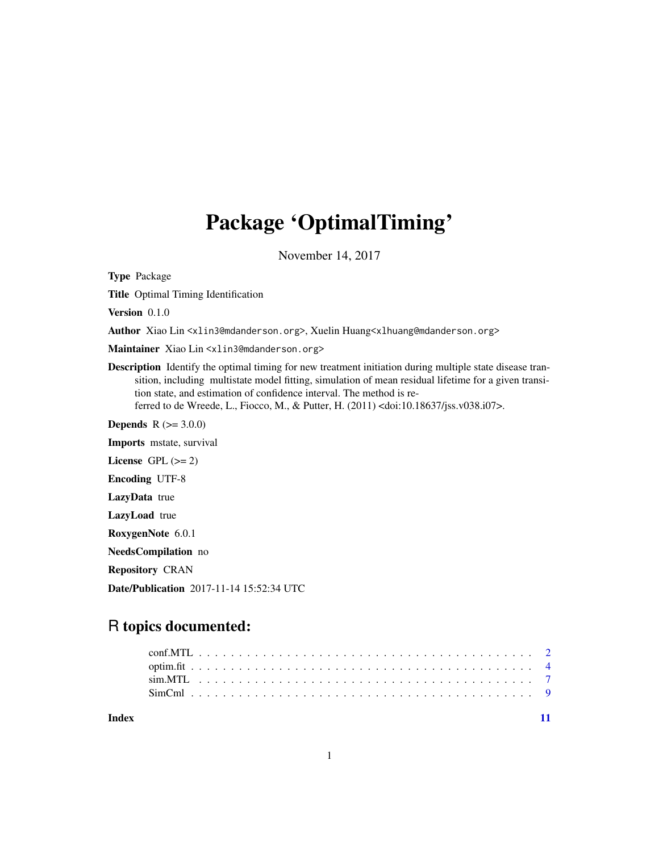## Package 'OptimalTiming'

November 14, 2017

Type Package

Title Optimal Timing Identification

Version 0.1.0

Author Xiao Lin <xlin3@mdanderson.org>, Xuelin Huang<xlhuang@mdanderson.org>

Maintainer Xiao Lin <xlin3@mdanderson.org>

Description Identify the optimal timing for new treatment initiation during multiple state disease transition, including multistate model fitting, simulation of mean residual lifetime for a given transition state, and estimation of confidence interval. The method is referred to de Wreede, L., Fiocco, M., & Putter, H. (2011) <doi:10.18637/jss.v038.i07>.

**Depends**  $R$  ( $> = 3.0.0$ )

Imports mstate, survival License GPL  $(>= 2)$ 

Encoding UTF-8

LazyData true

LazyLoad true

RoxygenNote 6.0.1

NeedsCompilation no

Repository CRAN

Date/Publication 2017-11-14 15:52:34 UTC

### R topics documented:

| Index |  |  |  |  |  |  |  |  |  |  |  |  |  |  |  |  |  |  |  |
|-------|--|--|--|--|--|--|--|--|--|--|--|--|--|--|--|--|--|--|--|

1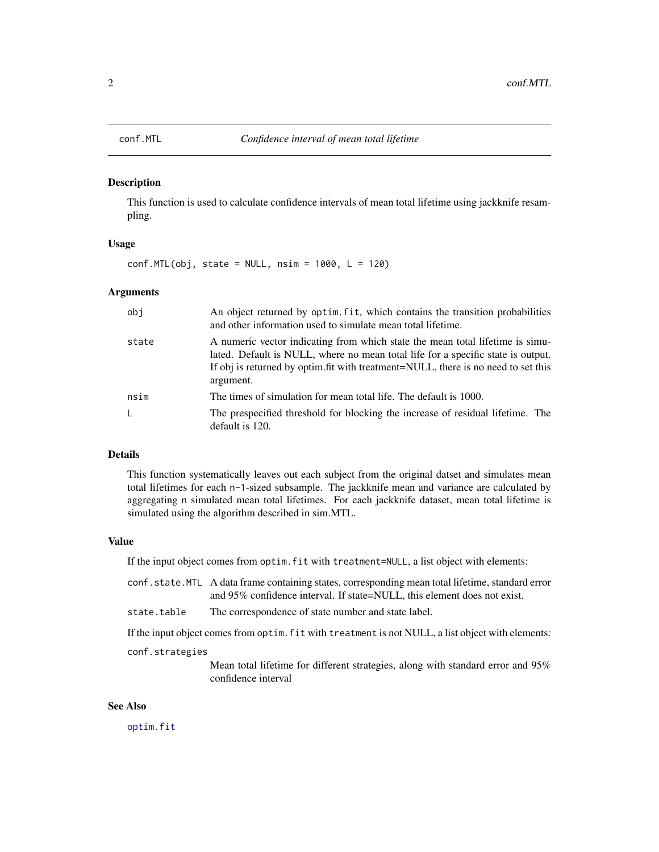<span id="page-1-0"></span>

#### Description

This function is used to calculate confidence intervals of mean total lifetime using jackknife resampling.

#### Usage

 $conf.MTL(obj, state = NULL, nsim = 1000, L = 120)$ 

#### Arguments

| obj   | An object returned by optim. fit, which contains the transition probabilities<br>and other information used to simulate mean total lifetime.                                                                                                                         |
|-------|----------------------------------------------------------------------------------------------------------------------------------------------------------------------------------------------------------------------------------------------------------------------|
| state | A numeric vector indicating from which state the mean total lifetime is simu-<br>lated. Default is NULL, where no mean total life for a specific state is output.<br>If obj is returned by optim. fit with treatment=NULL, there is no need to set this<br>argument. |
| nsim  | The times of simulation for mean total life. The default is 1000.                                                                                                                                                                                                    |
|       | The prespecified threshold for blocking the increase of residual lifetime. The<br>default is 120.                                                                                                                                                                    |

#### Details

This function systematically leaves out each subject from the original datset and simulates mean total lifetimes for each n-1-sized subsample. The jackknife mean and variance are calculated by aggregating n simulated mean total lifetimes. For each jackknife dataset, mean total lifetime is simulated using the algorithm described in sim.MTL.

#### Value

If the input object comes from optim.fit with treatment=NULL, a list object with elements:

- conf.state.MTL A data frame containing states, corresponding mean total lifetime, standard error and 95% confidence interval. If state=NULL, this element does not exist.
- state.table The correspondence of state number and state label.

If the input object comes from optim.fit with treatment is not NULL, a list object with elements:

#### conf.strategies

Mean total lifetime for different strategies, along with standard error and 95% confidence interval

#### See Also

[optim.fit](#page-3-1)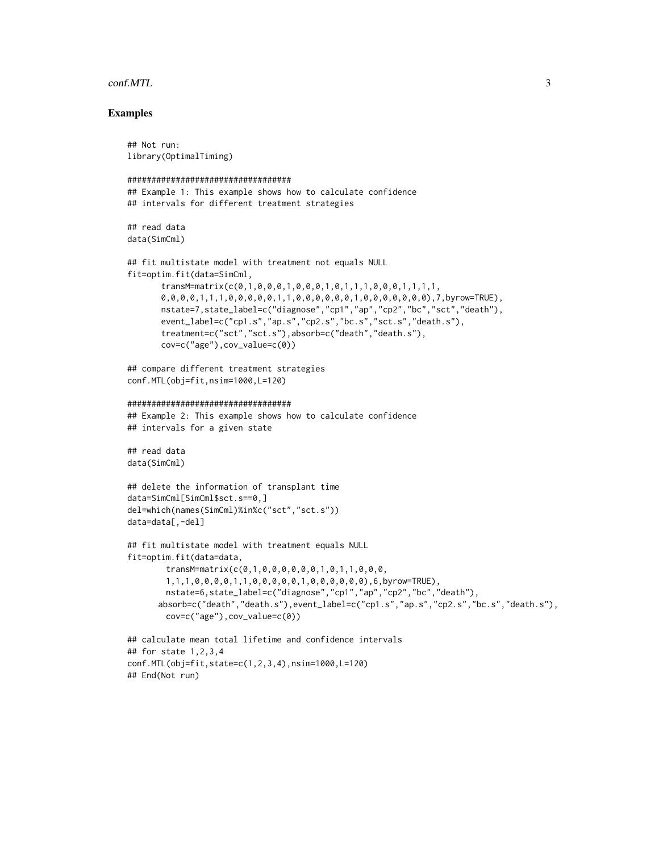#### conf.MTL 3

#### Examples

```
## Not run:
library(OptimalTiming)
##################################
## Example 1: This example shows how to calculate confidence
## intervals for different treatment strategies
## read data
data(SimCml)
## fit multistate model with treatment not equals NULL
fit=optim.fit(data=SimCml,
       transM=matrix(c(0,1,0,0,0,1,0,0,0,1,0,1,1,1,0,0,0,1,1,1,1,
       0,0,0,0,1,1,1,0,0,0,0,0,1,1,0,0,0,0,0,0,1,0,0,0,0,0,0,0),7,byrow=TRUE),
       nstate=7,state_label=c("diagnose","cp1","ap","cp2","bc","sct","death"),
       event_label=c("cp1.s","ap.s","cp2.s","bc.s","sct.s","death.s"),
       treatment=c("sct","sct.s"),absorb=c("death","death.s"),
       cov=c("age"),cov_value=c(0))
## compare different treatment strategies
conf.MTL(obj=fit,nsim=1000,L=120)
##################################
## Example 2: This example shows how to calculate confidence
## intervals for a given state
## read data
data(SimCml)
## delete the information of transplant time
data=SimCml[SimCml$sct.s==0,]
del=which(names(SimCml)%in%c("sct","sct.s"))
data=data[,-del]
## fit multistate model with treatment equals NULL
fit=optim.fit(data=data,
        transM=matrix(c(0,1,0,0,0,0,0,0,1,0,1,1,0,0,0,
        1,1,1,0,0,0,0,1,1,0,0,0,0,0,1,0,0,0,0,0,0),6,byrow=TRUE),
        nstate=6,state_label=c("diagnose","cp1","ap","cp2","bc","death"),
      absorb=c("death","death.s"),event_label=c("cp1.s","ap.s","cp2.s","bc.s","death.s"),
        cov=c("age"),cov_value=c(0))
## calculate mean total lifetime and confidence intervals
## for state 1,2,3,4
conf.MTL(obj=fit,state=c(1,2,3,4),nsim=1000,L=120)
## End(Not run)
```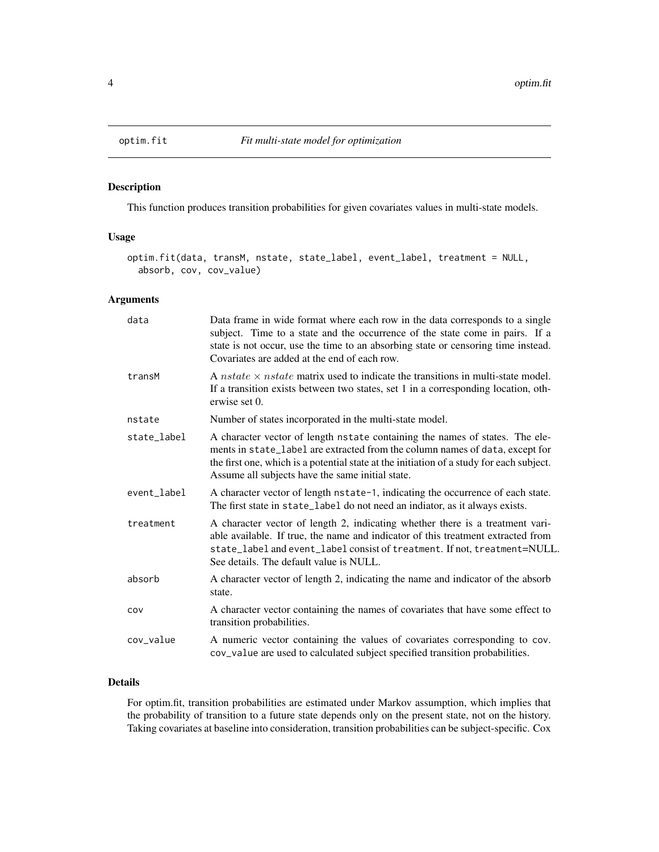<span id="page-3-1"></span><span id="page-3-0"></span>

#### Description

This function produces transition probabilities for given covariates values in multi-state models.

#### Usage

```
optim.fit(data, transM, nstate, state_label, event_label, treatment = NULL,
  absorb, cov, cov_value)
```
#### Arguments

| data        | Data frame in wide format where each row in the data corresponds to a single<br>subject. Time to a state and the occurrence of the state come in pairs. If a<br>state is not occur, use the time to an absorbing state or censoring time instead.<br>Covariates are added at the end of each row.            |
|-------------|--------------------------------------------------------------------------------------------------------------------------------------------------------------------------------------------------------------------------------------------------------------------------------------------------------------|
| transM      | A <i>nstate</i> $\times$ <i>nstate</i> matrix used to indicate the transitions in multi-state model.<br>If a transition exists between two states, set 1 in a corresponding location, oth-<br>erwise set 0.                                                                                                  |
| nstate      | Number of states incorporated in the multi-state model.                                                                                                                                                                                                                                                      |
| state_label | A character vector of length nstate containing the names of states. The ele-<br>ments in state_label are extracted from the column names of data, except for<br>the first one, which is a potential state at the initiation of a study for each subject.<br>Assume all subjects have the same initial state. |
| event_label | A character vector of length nstate-1, indicating the occurrence of each state.<br>The first state in state_label do not need an indiator, as it always exists.                                                                                                                                              |
| treatment   | A character vector of length 2, indicating whether there is a treatment vari-<br>able available. If true, the name and indicator of this treatment extracted from<br>state_label and event_label consist of treatment. If not, treatment=NULL.<br>See details. The default value is NULL.                    |
| absorb      | A character vector of length 2, indicating the name and indicator of the absorb<br>state.                                                                                                                                                                                                                    |
| COV         | A character vector containing the names of covariates that have some effect to<br>transition probabilities.                                                                                                                                                                                                  |
| cov_value   | A numeric vector containing the values of covariates corresponding to cov.<br>cov_value are used to calculated subject specified transition probabilities.                                                                                                                                                   |

#### Details

For optim.fit, transition probabilities are estimated under Markov assumption, which implies that the probability of transition to a future state depends only on the present state, not on the history. Taking covariates at baseline into consideration, transition probabilities can be subject-specific. Cox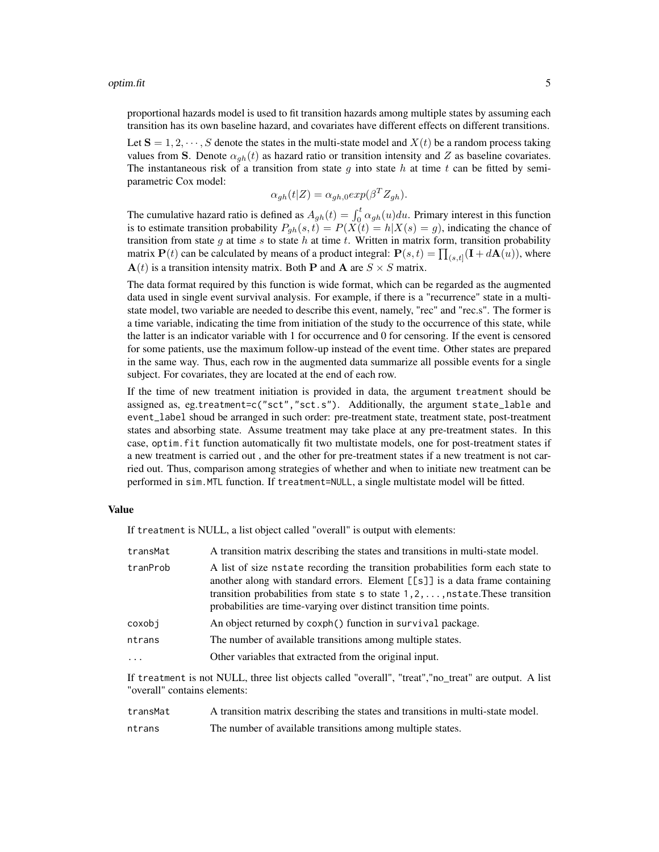proportional hazards model is used to fit transition hazards among multiple states by assuming each transition has its own baseline hazard, and covariates have different effects on different transitions.

Let  $S = 1, 2, \dots, S$  denote the states in the multi-state model and  $X(t)$  be a random process taking values from S. Denote  $\alpha_{ab}(t)$  as hazard ratio or transition intensity and Z as baseline covariates. The instantaneous risk of a transition from state q into state h at time t can be fitted by semiparametric Cox model:

$$
\alpha_{gh}(t|Z) = \alpha_{gh,0} exp(\beta^T Z_{gh}).
$$

The cumulative hazard ratio is defined as  $A_{gh}(t) = \int_0^t \alpha_{gh}(u) du$ . Primary interest in this function is to estimate transition probability  $P_{gh}(s, t) = P(X(t)) = h|X(s) = g$ , indicating the chance of transition from state g at time s to state h at time t. Written in matrix form, transition probability matrix  $P(t)$  can be calculated by means of a product integral:  $P(s,t) = \prod_{(s,t]} (\mathbf{I} + d\mathbf{A}(u))$ , where  $\mathbf{A}(t)$  is a transition intensity matrix. Both **P** and **A** are  $S \times S$  matrix.

The data format required by this function is wide format, which can be regarded as the augmented data used in single event survival analysis. For example, if there is a "recurrence" state in a multistate model, two variable are needed to describe this event, namely, "rec" and "rec.s". The former is a time variable, indicating the time from initiation of the study to the occurrence of this state, while the latter is an indicator variable with 1 for occurrence and 0 for censoring. If the event is censored for some patients, use the maximum follow-up instead of the event time. Other states are prepared in the same way. Thus, each row in the augmented data summarize all possible events for a single subject. For covariates, they are located at the end of each row.

If the time of new treatment initiation is provided in data, the argument treatment should be assigned as, eg.treatment=c("sct","sct.s"). Additionally, the argument state\_lable and event\_label shoud be arranged in such order: pre-treatment state, treatment state, post-treatment states and absorbing state. Assume treatment may take place at any pre-treatment states. In this case, optim.fit function automatically fit two multistate models, one for post-treatment states if a new treatment is carried out , and the other for pre-treatment states if a new treatment is not carried out. Thus, comparison among strategies of whether and when to initiate new treatment can be performed in sim.MTL function. If treatment=NULL, a single multistate model will be fitted.

#### Value

If treatment is NULL, a list object called "overall" is output with elements:

| transMat | A transition matrix describing the states and transitions in multi-state model.                                                                                                                                                                                                                                                                       |
|----------|-------------------------------------------------------------------------------------------------------------------------------------------------------------------------------------------------------------------------------------------------------------------------------------------------------------------------------------------------------|
| tranProb | A list of size nstate recording the transition probabilities form each state to<br>another along with standard errors. Element $[\lfloor s \rfloor]$ is a data frame containing<br>transition probabilities from state $s$ to state $1, 2, \ldots$ , nstate. These transition<br>probabilities are time-varying over distinct transition time points. |
| coxobj   | An object returned by coxph() function in survival package.                                                                                                                                                                                                                                                                                           |
| ntrans   | The number of available transitions among multiple states.                                                                                                                                                                                                                                                                                            |
|          | Other variables that extracted from the original input.                                                                                                                                                                                                                                                                                               |
|          |                                                                                                                                                                                                                                                                                                                                                       |

If treatment is not NULL, three list objects called "overall", "treat","no\_treat" are output. A list "overall" contains elements:

| transMat | A transition matrix describing the states and transitions in multi-state model. |
|----------|---------------------------------------------------------------------------------|
| ntrans   | The number of available transitions among multiple states.                      |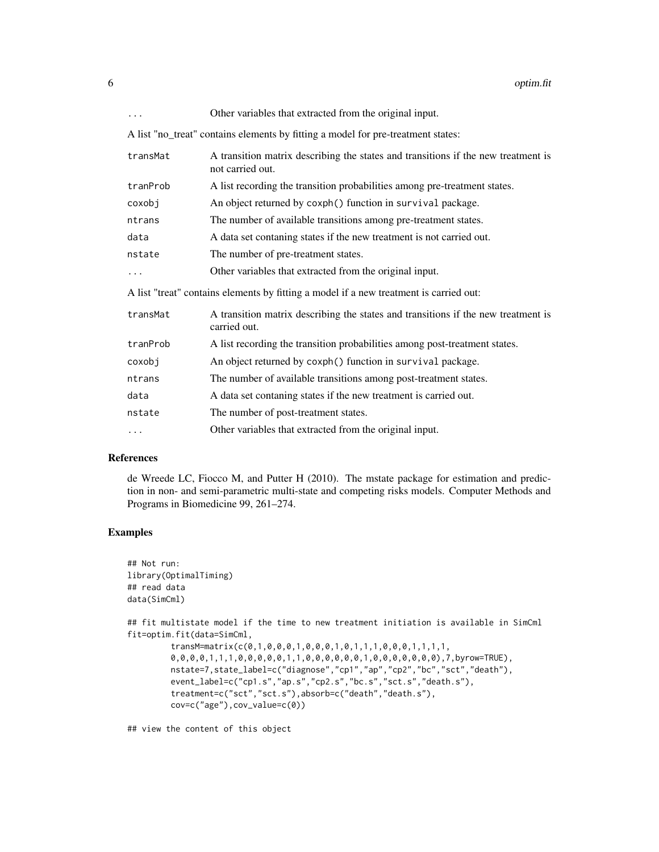| $\cdots$ | Other variables that extracted from the original input.                                               |
|----------|-------------------------------------------------------------------------------------------------------|
|          | A list "no_treat" contains elements by fitting a model for pre-treatment states:                      |
| transMat | A transition matrix describing the states and transitions if the new treatment is<br>not carried out. |
| tranProb | A list recording the transition probabilities among pre-treatment states.                             |
| coxobj   | An object returned by coxph() function in survival package.                                           |
| ntrans   | The number of available transitions among pre-treatment states.                                       |
| data     | A data set contaning states if the new treatment is not carried out.                                  |
| nstate   | The number of pre-treatment states.                                                                   |
|          | Other variables that extracted from the original input.                                               |
|          | A list "treat" contains elements by fitting a model if a new treatment is carried out:                |
| transMat | A transition matrix describing the states and transitions if the new treatment is<br>carried out.     |
| tranProb | A list recording the transition probabilities among post-treatment states.                            |
| coxobj   | An object returned by coxph() function in survival package.                                           |
| ntrans   | The number of available transitions among post-treatment states.                                      |
| data     | A data set contaning states if the new treatment is carried out.                                      |
| nstate   | The number of post-treatment states.                                                                  |
| .        | Other variables that extracted from the original input.                                               |

#### References

de Wreede LC, Fiocco M, and Putter H (2010). The mstate package for estimation and prediction in non- and semi-parametric multi-state and competing risks models. Computer Methods and Programs in Biomedicine 99, 261–274.

#### Examples

```
## Not run:
library(OptimalTiming)
## read data
data(SimCml)
## fit multistate model if the time to new treatment initiation is available in SimCml
fit=optim.fit(data=SimCml,
        transM=matrix(c(0,1,0,0,0,1,0,0,0,1,0,1,1,1,0,0,0,1,1,1,1,
         0,0,0,0,1,1,1,0,0,0,0,0,1,1,0,0,0,0,0,0,1,0,0,0,0,0,0,0),7,byrow=TRUE),
         nstate=7,state_label=c("diagnose","cp1","ap","cp2","bc","sct","death"),
         event_label=c("cp1.s","ap.s","cp2.s","bc.s","sct.s","death.s"),
         treatment=c("sct","sct.s"),absorb=c("death","death.s"),
         cov=c("age"),cov_value=c(0))
```
## view the content of this object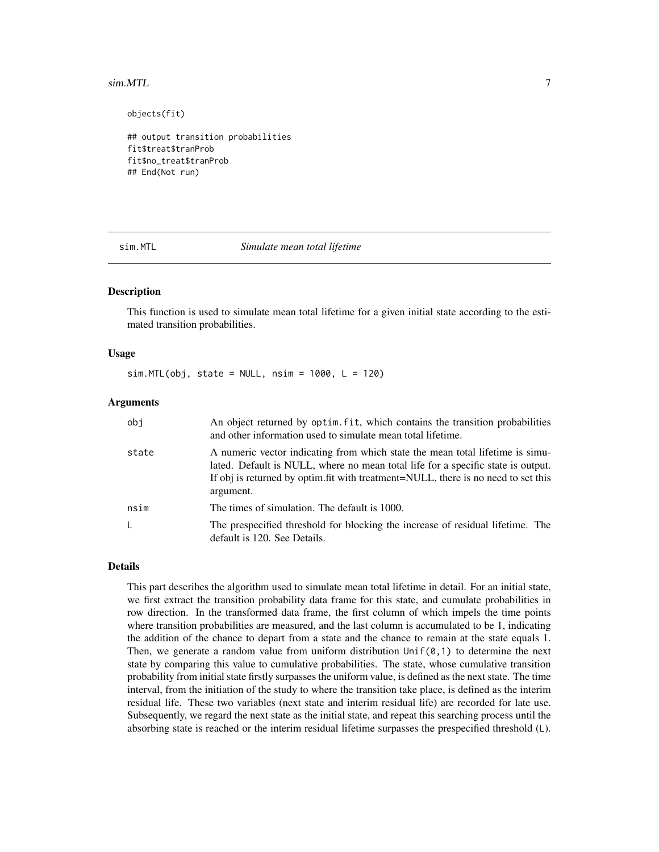#### <span id="page-6-0"></span> $s$ im.MTL  $\overline{a}$  7

objects(fit)

```
## output transition probabilities
fit$treat$tranProb
fit$no_treat$tranProb
## End(Not run)
```
sim.MTL *Simulate mean total lifetime*

#### **Description**

This function is used to simulate mean total lifetime for a given initial state according to the estimated transition probabilities.

#### Usage

 $sim.MTL(obj, state = NULL, nsim = 1000, L = 120)$ 

#### Arguments

| obi   | An object returned by optim. fit, which contains the transition probabilities<br>and other information used to simulate mean total lifetime.                                                                                                                         |
|-------|----------------------------------------------------------------------------------------------------------------------------------------------------------------------------------------------------------------------------------------------------------------------|
| state | A numeric vector indicating from which state the mean total lifetime is simu-<br>lated. Default is NULL, where no mean total life for a specific state is output.<br>If obj is returned by optim. fit with treatment=NULL, there is no need to set this<br>argument. |
| nsim  | The times of simulation. The default is 1000.                                                                                                                                                                                                                        |
| L.    | The prespecified threshold for blocking the increase of residual lifetime. The<br>default is 120. See Details.                                                                                                                                                       |

#### Details

This part describes the algorithm used to simulate mean total lifetime in detail. For an initial state, we first extract the transition probability data frame for this state, and cumulate probabilities in row direction. In the transformed data frame, the first column of which impels the time points where transition probabilities are measured, and the last column is accumulated to be 1, indicating the addition of the chance to depart from a state and the chance to remain at the state equals 1. Then, we generate a random value from uniform distribution  $Unif(\emptyset,1)$  to determine the next state by comparing this value to cumulative probabilities. The state, whose cumulative transition probability from initial state firstly surpasses the uniform value, is defined as the next state. The time interval, from the initiation of the study to where the transition take place, is defined as the interim residual life. These two variables (next state and interim residual life) are recorded for late use. Subsequently, we regard the next state as the initial state, and repeat this searching process until the absorbing state is reached or the interim residual lifetime surpasses the prespecified threshold (L).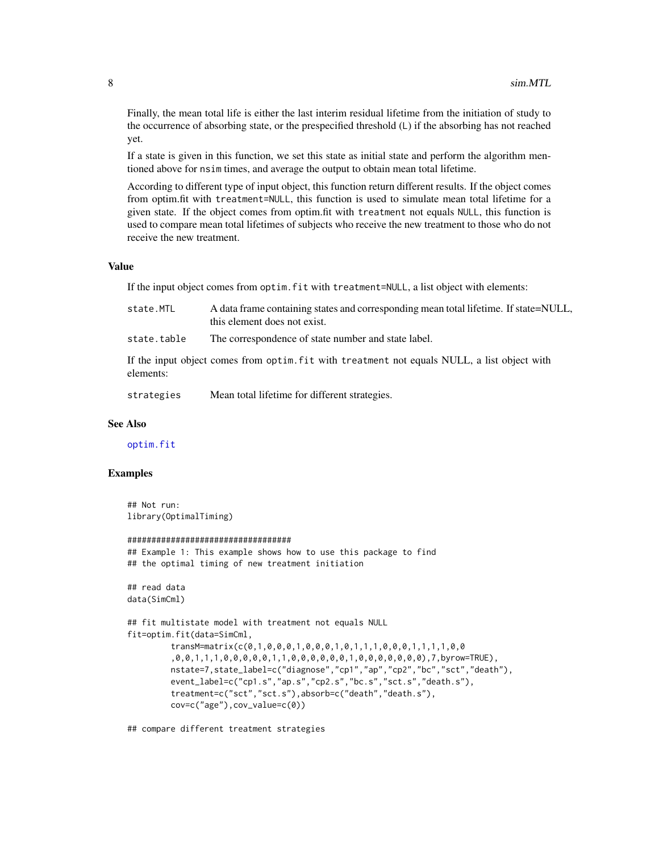<span id="page-7-0"></span>Finally, the mean total life is either the last interim residual lifetime from the initiation of study to the occurrence of absorbing state, or the prespecified threshold (L) if the absorbing has not reached yet.

If a state is given in this function, we set this state as initial state and perform the algorithm mentioned above for nsim times, and average the output to obtain mean total lifetime.

According to different type of input object, this function return different results. If the object comes from optim.fit with treatment=NULL, this function is used to simulate mean total lifetime for a given state. If the object comes from optim.fit with treatment not equals NULL, this function is used to compare mean total lifetimes of subjects who receive the new treatment to those who do not receive the new treatment.

#### Value

If the input object comes from optim.fit with treatment=NULL, a list object with elements:

| state.MTL | A data frame containing states and corresponding mean total lifetime. If state=NULL, |
|-----------|--------------------------------------------------------------------------------------|
|           | this element does not exist.                                                         |

state.table The correspondence of state number and state label.

If the input object comes from optim.fit with treatment not equals NULL, a list object with elements:

strategies Mean total lifetime for different strategies.

#### See Also

[optim.fit](#page-3-1)

#### Examples

```
## Not run:
library(OptimalTiming)
```

```
##################################
## Example 1: This example shows how to use this package to find
## the optimal timing of new treatment initiation
## read data
data(SimCml)
## fit multistate model with treatment not equals NULL
fit=optim.fit(data=SimCml,
         transM=matrix(c(0,1,0,0,0,1,0,0,0,1,0,1,1,1,0,0,0,1,1,1,1,0,0
         ,0,0,1,1,1,0,0,0,0,0,1,1,0,0,0,0,0,0,1,0,0,0,0,0,0,0),7,byrow=TRUE),
         nstate=7,state_label=c("diagnose","cp1","ap","cp2","bc","sct","death"),
         event_label=c("cp1.s","ap.s","cp2.s","bc.s","sct.s","death.s"),
         treatment=c("sct","sct.s"),absorb=c("death","death.s"),
         cov=c("age"),cov_value=c(0))
```
## compare different treatment strategies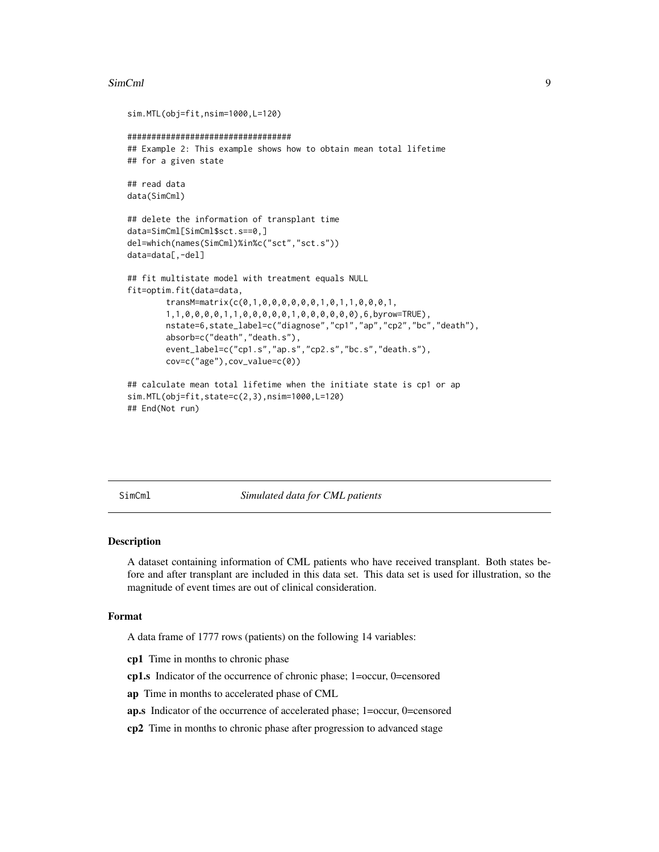#### <span id="page-8-0"></span>SimCml 9

```
sim.MTL(obj=fit,nsim=1000,L=120)
##################################
## Example 2: This example shows how to obtain mean total lifetime
## for a given state
## read data
data(SimCml)
## delete the information of transplant time
data=SimCml[SimCml$sct.s==0,]
del=which(names(SimCml)%in%c("sct","sct.s"))
data=data[,-del]
## fit multistate model with treatment equals NULL
fit=optim.fit(data=data,
        transM=matrix(c(0,1,0,0,0,0,0,0,1,0,1,1,0,0,0,1,
        1,1,0,0,0,0,1,1,0,0,0,0,0,1,0,0,0,0,0,0),6,byrow=TRUE),
        nstate=6,state_label=c("diagnose","cp1","ap","cp2","bc","death"),
        absorb=c("death","death.s"),
        event_label=c("cp1.s","ap.s","cp2.s","bc.s","death.s"),
        cov=c("age"),cov_value=c(0))
## calculate mean total lifetime when the initiate state is cp1 or ap
sim.MTL(obj=fit,state=c(2,3),nsim=1000,L=120)
## End(Not run)
```
SimCml *Simulated data for CML patients*

#### Description

A dataset containing information of CML patients who have received transplant. Both states before and after transplant are included in this data set. This data set is used for illustration, so the magnitude of event times are out of clinical consideration.

#### Format

A data frame of 1777 rows (patients) on the following 14 variables:

cp1 Time in months to chronic phase

cp1.s Indicator of the occurrence of chronic phase; 1=occur, 0=censored

- ap Time in months to accelerated phase of CML
- ap.s Indicator of the occurrence of accelerated phase; 1=occur, 0=censored
- cp2 Time in months to chronic phase after progression to advanced stage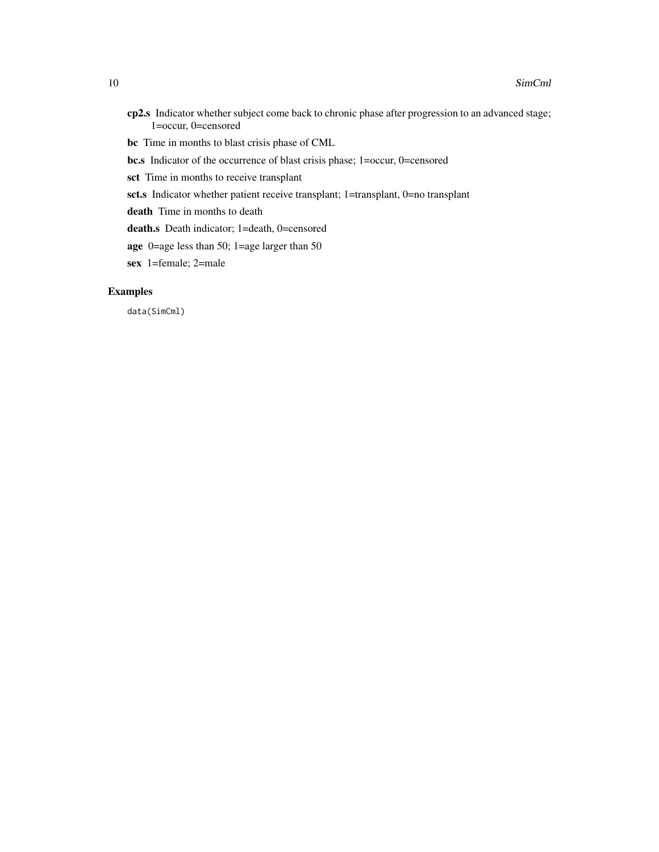- cp2.s Indicator whether subject come back to chronic phase after progression to an advanced stage; 1=occur, 0=censored
- bc Time in months to blast crisis phase of CML
- bc.s Indicator of the occurrence of blast crisis phase; 1=occur, 0=censored
- sct Time in months to receive transplant
- sct.s Indicator whether patient receive transplant; 1=transplant, 0=no transplant
- death Time in months to death
- death.s Death indicator; 1=death, 0=censored
- age 0=age less than 50; 1=age larger than 50
- sex 1=female; 2=male

#### Examples

data(SimCml)